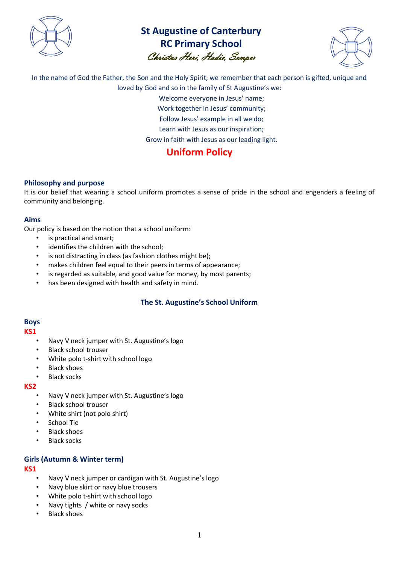

# **St Augustine of Canterbury RC Primary School** Christus Heri, Hodie, Semper



In the name of God the Father, the Son and the Holy Spirit, we remember that each person is gifted, unique and loved by God and so in the family of St Augustine's we:

> Welcome everyone in Jesus' name; Work together in Jesus' community;

Follow Jesus' example in all we do;

Learn with Jesus as our inspiration;

Grow in faith with Jesus as our leading light.

# **Uniform Policy**

# **Philosophy and purpose**

It is our belief that wearing a school uniform promotes a sense of pride in the school and engenders a feeling of community and belonging.

# **Aims**

Our policy is based on the notion that a school uniform:

- is practical and smart;
- identifies the children with the school;
- is not distracting in class (as fashion clothes might be);
- makes children feel equal to their peers in terms of appearance;
- is regarded as suitable, and good value for money, by most parents;
- has been designed with health and safety in mind.

# **The St. Augustine's School Uniform**

# **Boys**

#### **KS1**

- Navy V neck jumper with St. Augustine's logo
- Black school trouser
- White polo t-shirt with school logo
- Black shoes
- **Black socks**

# **KS2**

- Navy V neck jumper with St. Augustine's logo
- Black school trouser
- White shirt (not polo shirt)
- School Tie
- Black shoes
- Black socks

# **Girls (Autumn & Winter term)**

# **KS1**

- Navy V neck jumper or cardigan with St. Augustine's logo
- Navy blue skirt or navy blue trousers
- White polo t-shirt with school logo
- Navy tights / white or navy socks
- Black shoes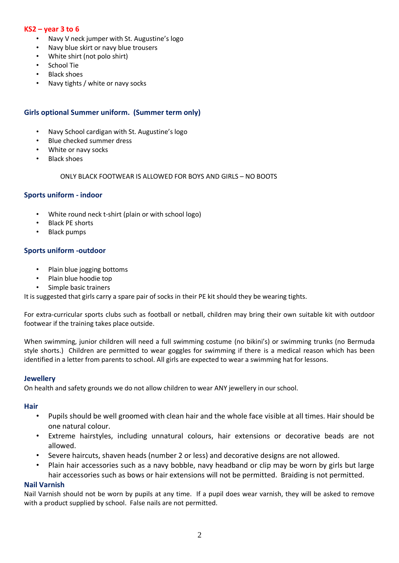# **KS2 – year 3 to 6**

- Navy V neck jumper with St. Augustine's logo
- Navy blue skirt or navy blue trousers
- White shirt (not polo shirt)
- School Tie
- Black shoes
- Navy tights / white or navy socks

# **Girls optional Summer uniform. (Summer term only)**

- Navy School cardigan with St. Augustine's logo
- Blue checked summer dress
- White or navy socks
- Black shoes

#### ONLY BLACK FOOTWEAR IS ALLOWED FOR BOYS AND GIRLS – NO BOOTS

#### **Sports uniform - indoor**

- White round neck t-shirt (plain or with school logo)
- Black PE shorts
- Black pumps

#### **Sports uniform -outdoor**

- Plain blue jogging bottoms
- Plain blue hoodie top
- Simple basic trainers

It is suggested that girls carry a spare pair of socks in their PE kit should they be wearing tights.

For extra-curricular sports clubs such as football or netball, children may bring their own suitable kit with outdoor footwear if the training takes place outside.

When swimming, junior children will need a full swimming costume (no bikini's) or swimming trunks (no Bermuda style shorts.) Children are permitted to wear goggles for swimming if there is a medical reason which has been identified in a letter from parents to school. All girls are expected to wear a swimming hat for lessons.

#### **Jewellery**

On health and safety grounds we do not allow children to wear ANY jewellery in our school.

#### **Hair**

- Pupils should be well groomed with clean hair and the whole face visible at all times. Hair should be one natural colour.
- Extreme hairstyles, including unnatural colours, hair extensions or decorative beads are not allowed.
- Severe haircuts, shaven heads (number 2 or less) and decorative designs are not allowed.
- Plain hair accessories such as a navy bobble, navy headband or clip may be worn by girls but large hair accessories such as bows or hair extensions will not be permitted. Braiding is not permitted.

#### **Nail Varnish**

Nail Varnish should not be worn by pupils at any time. If a pupil does wear varnish, they will be asked to remove with a product supplied by school. False nails are not permitted.